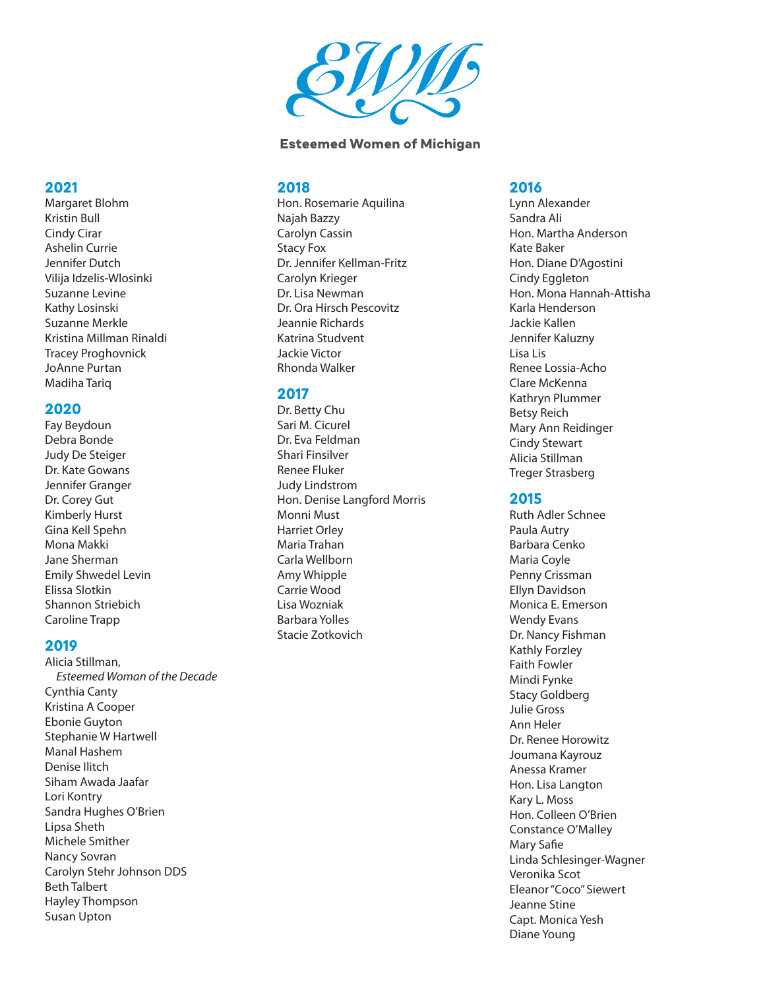

### **Esteemed Women of Michigan**

#### **2018**

Hon. Rosemarie Aquilina Najah Bazzy Carolyn Cassin Stacy Fox Dr. Jennifer Kellman-Fritz Carolyn Krieger Dr. Lisa Newman Dr. Ora Hirsch Pescovitz Jeannie Richards Katrina Studvent Jackie Victor Rhonda Walker

### **2017**

Dr. Betty Chu Sari M. Cicurel Dr. Eva Feldman Shari Finsilver Renee Fluker Judy Lindstrom Hon. Denise Langford Morris Monni Must Harriet Orley Maria Trahan Carla Wellborn Amy Whipple Carrie Wood Lisa Wozniak Barbara Yolles Stacie Zotkovich

#### **2016**

Lynn Alexander Sandra Ali Hon. Martha Anderson Kate Baker Hon. Diane D'Agostini Cindy Eggleton Hon. Mona Hannah-Attisha Karla Henderson Jackie Kallen Jennifer Kaluzny Lisa Lis Renee Lossia-Acho Clare McKenna Kathryn Plummer Betsy Reich Mary Ann Reidinger Cindy Stewart Alicia Stillman Treger Strasberg

#### **2015**

Ruth Adler Schnee Paula Autry Barbara Cenko Maria Coyle Penny Crissman Ellyn Davidson Monica E. Emerson Wendy Evans Dr. Nancy Fishman Kathly Forzley Faith Fowler Mindi Fynke Stacy Goldberg Julie Gross Ann Heler Dr. Renee Horowitz Joumana Kayrouz Anessa Kramer Hon. Lisa Langton Kary L. Moss Hon. Colleen O'Brien Constance O'Malley Mary Safie Linda Schlesinger-Wagner Veronika Scot Eleanor "Coco" Siewert Jeanne Stine Capt. Monica Yesh Diane Young

# **2021**

Margaret Blohm Kristin Bull Cindy Cirar Ashelin Currie Jennifer Dutch Vilija Idzelis-Wlosinki Suzanne Levine Kathy Losinski Suzanne Merkle Kristina Millman Rinaldi Tracey Proghovnick JoAnne Purtan Madiha Tariq

# **2020**

Fay Beydoun Debra Bonde Judy De Steiger Dr. Kate Gowans Jennifer Granger Dr. Corey Gut Kimberly Hurst Gina Kell Spehn Mona Makki Jane Sherman Emily Shwedel Levin Elissa Slotkin Shannon Striebich Caroline Trapp

# **2019**

Alicia Stillman,  *Esteemed Woman of the Decade* Cynthia Canty Kristina A Cooper Ebonie Guyton Stephanie W Hartwell Manal Hashem Denise Ilitch Siham Awada Jaafar Lori Kontry Sandra Hughes O'Brien Lipsa Sheth Michele Smither Nancy Sovran Carolyn Stehr Johnson DDS Beth Talbert Hayley Thompson Susan Upton